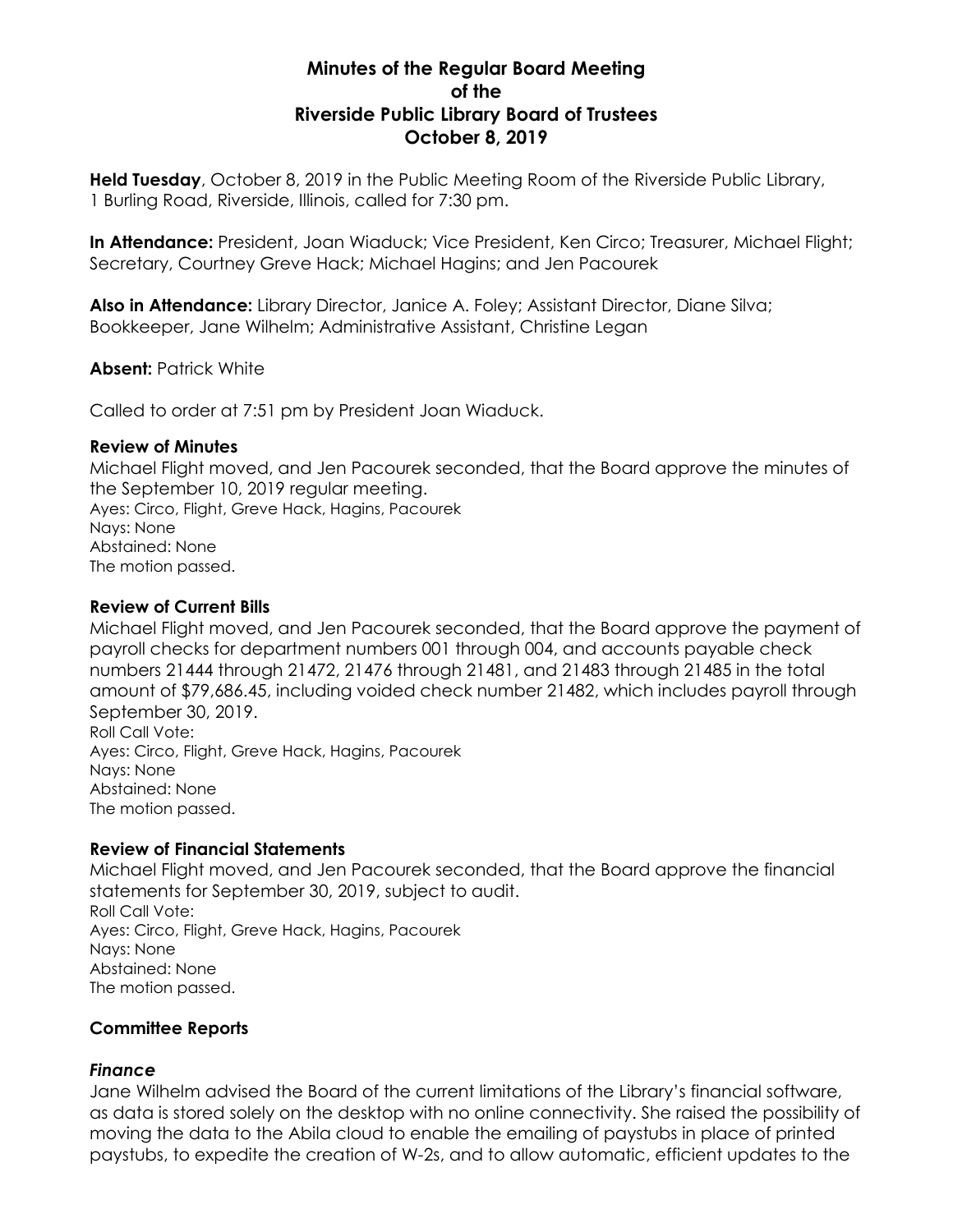# **Minutes of the Regular Board Meeting of the Riverside Public Library Board of Trustees October 8, 2019**

**Held Tuesday**, October 8, 2019 in the Public Meeting Room of the Riverside Public Library, 1 Burling Road, Riverside, Illinois, called for 7:30 pm.

**In Attendance:** President, Joan Wiaduck; Vice President, Ken Circo; Treasurer, Michael Flight; Secretary, Courtney Greve Hack; Michael Hagins; and Jen Pacourek

**Also in Attendance:** Library Director, Janice A. Foley; Assistant Director, Diane Silva; Bookkeeper, Jane Wilhelm; Administrative Assistant, Christine Legan

**Absent:** Patrick White

Called to order at 7:51 pm by President Joan Wiaduck.

#### **Review of Minutes**

Michael Flight moved, and Jen Pacourek seconded, that the Board approve the minutes of the September 10, 2019 regular meeting. Ayes: Circo, Flight, Greve Hack, Hagins, Pacourek Nays: None Abstained: None The motion passed.

# **Review of Current Bills**

Michael Flight moved, and Jen Pacourek seconded, that the Board approve the payment of payroll checks for department numbers 001 through 004, and accounts payable check numbers 21444 through 21472, 21476 through 21481, and 21483 through 21485 in the total amount of \$79,686.45, including voided check number 21482, which includes payroll through September 30, 2019. Roll Call Vote: Ayes: Circo, Flight, Greve Hack, Hagins, Pacourek Nays: None

Abstained: None The motion passed.

## **Review of Financial Statements**

Michael Flight moved, and Jen Pacourek seconded, that the Board approve the financial statements for September 30, 2019, subject to audit. Roll Call Vote: Ayes: Circo, Flight, Greve Hack, Hagins, Pacourek Nays: None Abstained: None The motion passed.

## **Committee Reports**

## *Finance*

Jane Wilhelm advised the Board of the current limitations of the Library's financial software, as data is stored solely on the desktop with no online connectivity. She raised the possibility of moving the data to the Abila cloud to enable the emailing of paystubs in place of printed paystubs, to expedite the creation of W-2s, and to allow automatic, efficient updates to the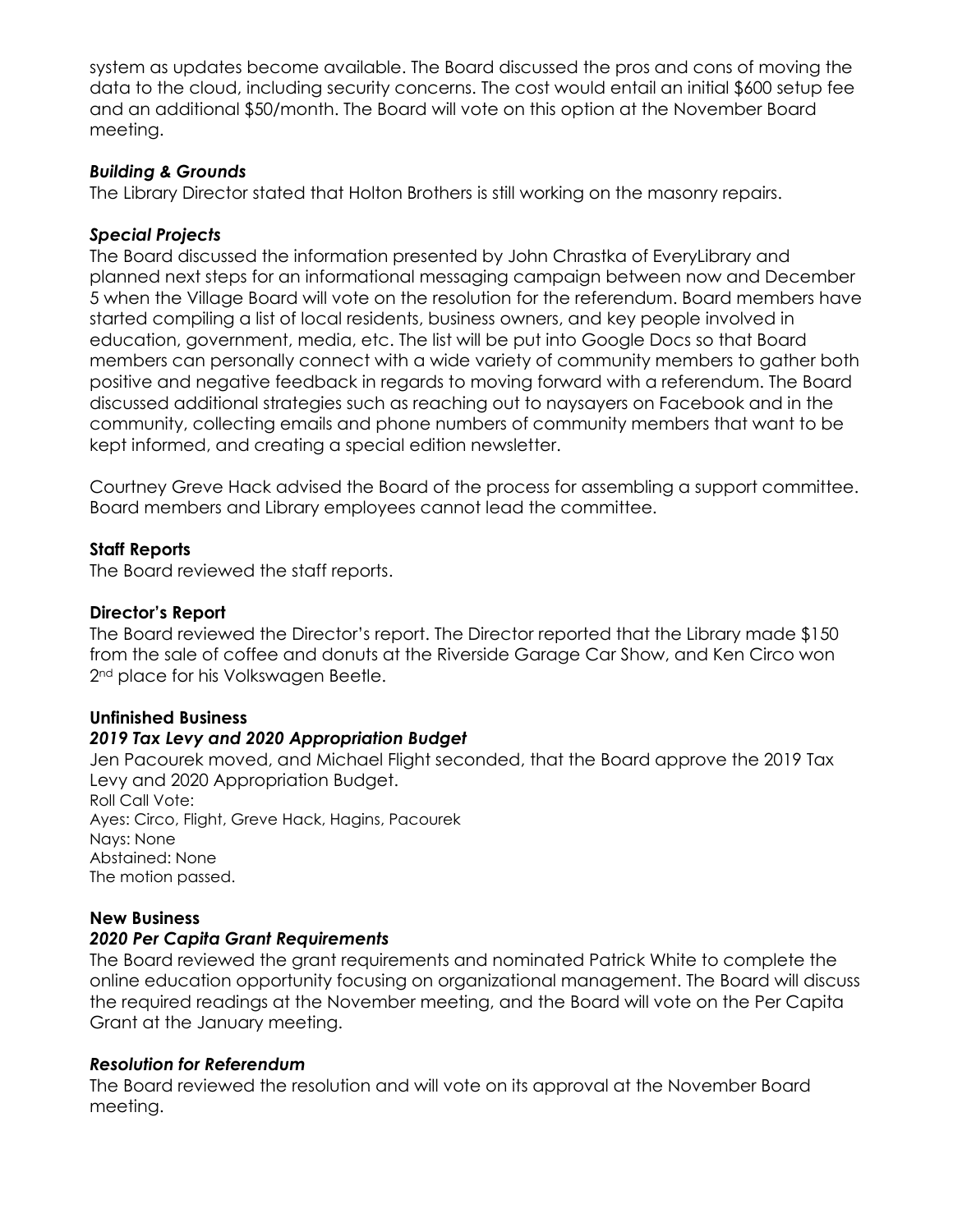system as updates become available. The Board discussed the pros and cons of moving the data to the cloud, including security concerns. The cost would entail an initial \$600 setup fee and an additional \$50/month. The Board will vote on this option at the November Board meeting.

### *Building & Grounds*

The Library Director stated that Holton Brothers is still working on the masonry repairs.

#### *Special Projects*

The Board discussed the information presented by John Chrastka of EveryLibrary and planned next steps for an informational messaging campaign between now and December 5 when the Village Board will vote on the resolution for the referendum. Board members have started compiling a list of local residents, business owners, and key people involved in education, government, media, etc. The list will be put into Google Docs so that Board members can personally connect with a wide variety of community members to gather both positive and negative feedback in regards to moving forward with a referendum. The Board discussed additional strategies such as reaching out to naysayers on Facebook and in the community, collecting emails and phone numbers of community members that want to be kept informed, and creating a special edition newsletter.

Courtney Greve Hack advised the Board of the process for assembling a support committee. Board members and Library employees cannot lead the committee.

#### **Staff Reports**

The Board reviewed the staff reports.

### **Director's Report**

The Board reviewed the Director's report. The Director reported that the Library made \$150 from the sale of coffee and donuts at the Riverside Garage Car Show, and Ken Circo won 2<sup>nd</sup> place for his Volkswagen Beetle.

## **Unfinished Business**

## *2019 Tax Levy and 2020 Appropriation Budget*

Jen Pacourek moved, and Michael Flight seconded, that the Board approve the 2019 Tax Levy and 2020 Appropriation Budget. Roll Call Vote:

Ayes: Circo, Flight, Greve Hack, Hagins, Pacourek Nays: None Abstained: None The motion passed.

## **New Business**

#### *2020 Per Capita Grant Requirements*

The Board reviewed the grant requirements and nominated Patrick White to complete the online education opportunity focusing on organizational management. The Board will discuss the required readings at the November meeting, and the Board will vote on the Per Capita Grant at the January meeting.

#### *Resolution for Referendum*

The Board reviewed the resolution and will vote on its approval at the November Board meeting.